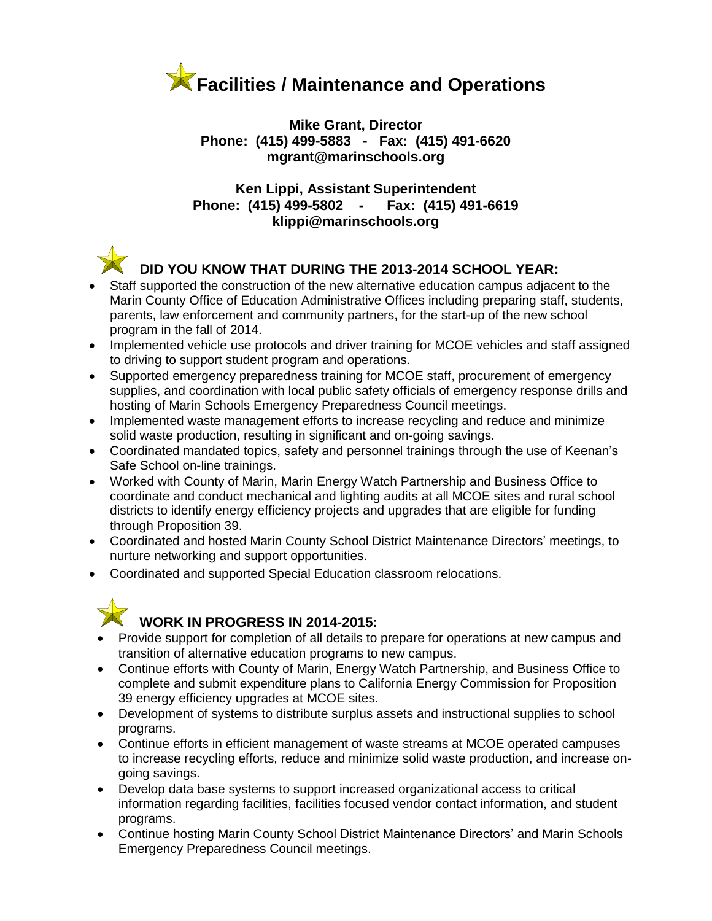

**Mike Grant, Director Phone: (415) 499-5883 - Fax: (415) 491-6620 mgrant@marinschools.org**

**Ken Lippi, Assistant Superintendent Phone: (415) 499-5802 - Fax: (415) 491-6619 klippi@marinschools.org**



## **DID YOU KNOW THAT DURING THE 2013-2014 SCHOOL YEAR:**

- Staff supported the construction of the new alternative education campus adjacent to the Marin County Office of Education Administrative Offices including preparing staff, students, parents, law enforcement and community partners, for the start-up of the new school program in the fall of 2014.
- Implemented vehicle use protocols and driver training for MCOE vehicles and staff assigned to driving to support student program and operations.
- Supported emergency preparedness training for MCOE staff, procurement of emergency supplies, and coordination with local public safety officials of emergency response drills and hosting of Marin Schools Emergency Preparedness Council meetings.
- Implemented waste management efforts to increase recycling and reduce and minimize solid waste production, resulting in significant and on-going savings.
- Coordinated mandated topics, safety and personnel trainings through the use of Keenan's Safe School on-line trainings.
- Worked with County of Marin, Marin Energy Watch Partnership and Business Office to coordinate and conduct mechanical and lighting audits at all MCOE sites and rural school districts to identify energy efficiency projects and upgrades that are eligible for funding through Proposition 39.
- Coordinated and hosted Marin County School District Maintenance Directors' meetings, to nurture networking and support opportunities.
- Coordinated and supported Special Education classroom relocations.

## **WORK IN PROGRESS IN 2014-2015:**

- Provide support for completion of all details to prepare for operations at new campus and transition of alternative education programs to new campus.
- Continue efforts with County of Marin, Energy Watch Partnership, and Business Office to complete and submit expenditure plans to California Energy Commission for Proposition 39 energy efficiency upgrades at MCOE sites.
- Development of systems to distribute surplus assets and instructional supplies to school programs.
- Continue efforts in efficient management of waste streams at MCOE operated campuses to increase recycling efforts, reduce and minimize solid waste production, and increase ongoing savings.
- Develop data base systems to support increased organizational access to critical information regarding facilities, facilities focused vendor contact information, and student programs.
- Continue hosting Marin County School District Maintenance Directors' and Marin Schools Emergency Preparedness Council meetings.